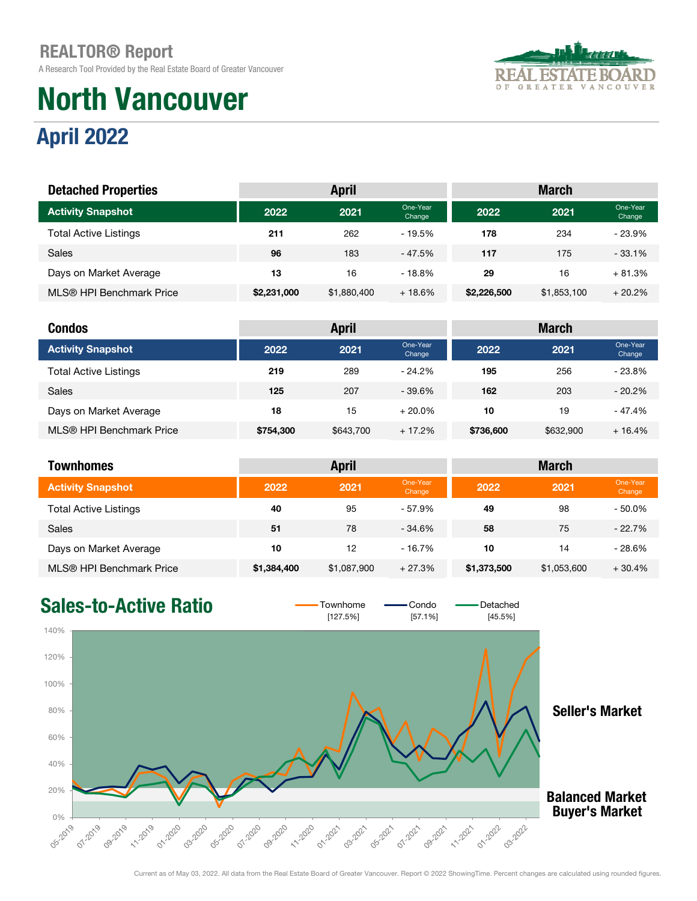A Research Tool Provided by the Real Estate Board of Greater Vancouver

# April 2022 North Vancouver



#### external cone-Year one-Year one-Year one-Year one-Year one-Year one-Year one-Year one-Year one-Year one-Year one-Year one-Year one-Year one-Year one-Year one-Year one-Year one-Year one-Year one-Year one-Year one-Year one-Y Dhe-Year **2022** 2021 <sup>One-Year</sup> Change Change Total Active Listings 211 2002 - 19.5% 178 234 - 23.9% Sales 96 183 - 47.5% 117 175 - 33.1% Days on Market Average 13 13 16 - 18.8% 29 16 + 81.3% MLS® HPI Benchmark Price \$2,231,000 \$1,880,400 + 18.6% \$2,226,500 \$1,853,100 + 20.2% Activity Snapshot Detached Properties **April** March April March March March March March March March March March March March March March March March March March March March March March March March March March March March March March March Ma

| <b>Condos</b>                |           | <b>April</b> |                    | <b>March</b> |           |                    |  |
|------------------------------|-----------|--------------|--------------------|--------------|-----------|--------------------|--|
| <b>Activity Snapshot</b>     | 2022      | 2021         | One-Year<br>Change | 2022         | 2021      | One-Year<br>Change |  |
| <b>Total Active Listings</b> | 219       | 289          | $-24.2\%$          | 195          | 256       | $-23.8%$           |  |
| <b>Sales</b>                 | 125       | 207          | $-39.6%$           | 162          | 203       | $-20.2\%$          |  |
| Days on Market Average       | 18        | 15           | $+20.0\%$          | 10           | 19        | $-47.4%$           |  |
| MLS® HPI Benchmark Price     | \$754,300 | \$643,700    | $+17.2%$           | \$736,600    | \$632,900 | $+16.4%$           |  |

| <b>Townhomes</b>             | <b>April</b><br><b>March</b> |             |                    |             |             |                    |
|------------------------------|------------------------------|-------------|--------------------|-------------|-------------|--------------------|
| <b>Activity Snapshot</b>     | 2022                         | 2021        | One-Year<br>Change | 2022        | 2021        | One-Year<br>Change |
| <b>Total Active Listings</b> | 40                           | 95          | $-57.9%$           | 49          | 98          | $-50.0\%$          |
| Sales                        | 51                           | 78          | $-34.6%$           | 58          | 75          | $-22.7%$           |
| Days on Market Average       | 10                           | 12          | - 16.7%            | 10          | 14          | $-28.6%$           |
| MLS® HPI Benchmark Price     | \$1,384,400                  | \$1,087,900 | $+27.3%$           | \$1,373,500 | \$1,053,600 | $+30.4%$           |

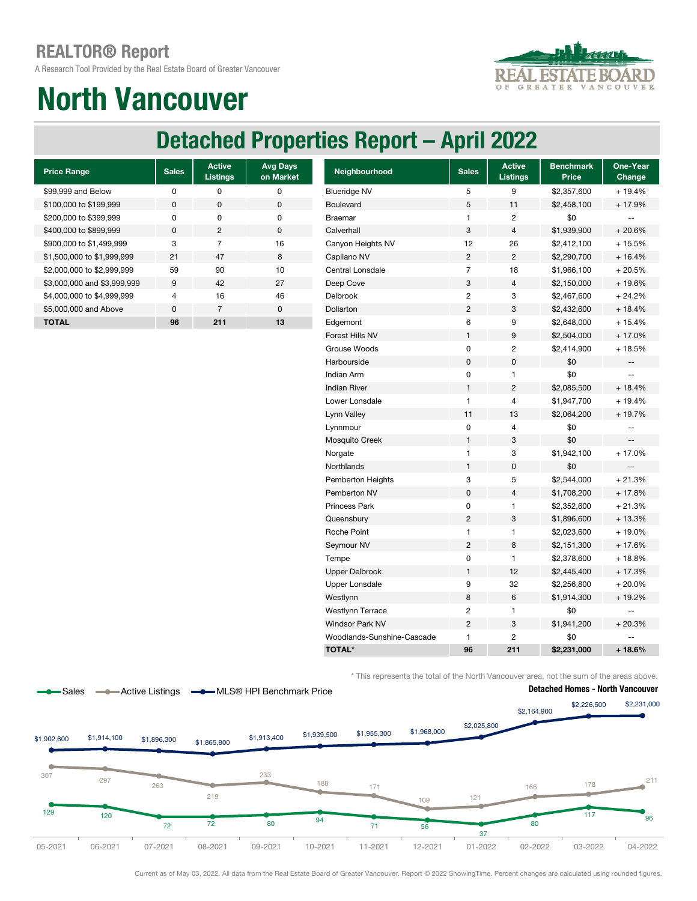A Research Tool Provided by the Real Estate Board of Greater Vancouver



# North Vancouver

## Detached Properties Report – April 2022

| <b>Price Range</b>          | <b>Sales</b>   | <b>Active</b><br><b>Listings</b> | <b>Avg Days</b><br>on Market |
|-----------------------------|----------------|----------------------------------|------------------------------|
| \$99,999 and Below          | ŋ              | ŋ                                | O                            |
| \$100,000 to \$199,999      | $\Omega$       | O                                | $\Omega$                     |
| \$200,000 to \$399,999      | O              | ŋ                                | O                            |
| \$400,000 to \$899,999      | <sup>0</sup>   | 2                                | $\Omega$                     |
| \$900,000 to \$1,499,999    | 3              | 7                                | 16                           |
| \$1,500,000 to \$1,999,999  | 21             | 47                               | 8                            |
| \$2,000,000 to \$2,999,999  | 59             | 90                               | 10                           |
| \$3,000,000 and \$3,999,999 | 9              | 42                               | 27                           |
| \$4,000,000 to \$4,999,999  | $\overline{4}$ | 16                               | 46                           |
| \$5,000,000 and Above       | $\Omega$       | 7                                | $\Omega$                     |
| <b>TOTAL</b>                | 96             | 211                              | 13                           |

| <b>Price Range</b>          | <b>Sales</b> | <b>Active</b><br><b>Listings</b> | <b>Avg Days</b><br>on Market | Neighbourhood              | <b>Sales</b>   | <b>Active</b><br><b>Listings</b> | <b>Benchmark</b><br>Price | One-Year<br>Change       |
|-----------------------------|--------------|----------------------------------|------------------------------|----------------------------|----------------|----------------------------------|---------------------------|--------------------------|
| \$99,999 and Below          | 0            | 0                                | $\pmb{0}$                    | <b>Blueridge NV</b>        | 5              | 9                                | \$2,357,600               | + 19.4%                  |
| \$100,000 to \$199,999      | 0            | $\pmb{0}$                        | $\pmb{0}$                    | Boulevard                  | 5              | 11                               | \$2,458,100               | + 17.9%                  |
| \$200,000 to \$399,999      | $\pmb{0}$    | 0                                | $\pmb{0}$                    | <b>Braemar</b>             | $\mathbf{1}$   | 2                                | \$0                       | $\overline{\phantom{a}}$ |
| \$400,000 to \$899,999      | 0            | $\overline{c}$                   | $\pmb{0}$                    | Calverhall                 | 3              | 4                                | \$1,939,900               | $+20.6%$                 |
| \$900,000 to \$1,499,999    | 3            | $\overline{7}$                   | 16                           | Canyon Heights NV          | 12             | 26                               | \$2,412,100               | $+15.5%$                 |
| \$1,500,000 to \$1,999,999  | 21           | 47                               | 8                            | Capilano NV                | $\overline{c}$ | $\sqrt{2}$                       | \$2,290,700               | $+16.4%$                 |
| \$2,000,000 to \$2,999,999  | 59           | 90                               | 10                           | Central Lonsdale           | $\overline{7}$ | 18                               | \$1,966,100               | $+20.5%$                 |
| \$3,000,000 and \$3,999,999 | 9            | 42                               | 27                           | Deep Cove                  | 3              | 4                                | \$2,150,000               | +19.6%                   |
| \$4,000,000 to \$4,999,999  | 4            | 16                               | 46                           | Delbrook                   | $\overline{c}$ | 3                                | \$2,467,600               | $+24.2%$                 |
| \$5,000,000 and Above       | $\pmb{0}$    | $\overline{7}$                   | $\pmb{0}$                    | Dollarton                  | $\overline{2}$ | 3                                | \$2,432,600               | $+18.4%$                 |
| <b>TOTAL</b>                | 96           | 211                              | 13                           | Edgemont                   | 6              | 9                                | \$2,648,000               | $+15.4%$                 |
|                             |              |                                  |                              | Forest Hills NV            | $\mathbf{1}$   | 9                                | \$2,504,000               | $+17.0%$                 |
|                             |              |                                  |                              | Grouse Woods               | $\mathbf 0$    | 2                                | \$2,414,900               | +18.5%                   |
|                             |              |                                  |                              | Harbourside                | $\mathbf 0$    | 0                                | \$0                       | --                       |
|                             |              |                                  |                              | Indian Arm                 | 0              | 1                                | \$0                       | $-$                      |
|                             |              |                                  |                              | <b>Indian River</b>        | $\mathbf{1}$   | 2                                | \$2,085,500               | $+18.4%$                 |
|                             |              |                                  |                              | Lower Lonsdale             | $\mathbf{1}$   | 4                                | \$1,947,700               | + 19.4%                  |
|                             |              |                                  |                              | Lynn Valley                | 11             | 13                               | \$2,064,200               | + 19.7%                  |
|                             |              |                                  |                              | Lynnmour                   | $\pmb{0}$      | 4                                | \$0                       | --                       |
|                             |              |                                  |                              | Mosquito Creek             | 1              | 3                                | \$0                       | --                       |
|                             |              |                                  |                              | Norgate                    | 1              | 3                                | \$1,942,100               | $+17.0%$                 |
|                             |              |                                  |                              | Northlands                 | 1              | 0                                | \$0                       | --                       |
|                             |              |                                  |                              | Pemberton Heights          | 3              | 5                                | \$2,544,000               | $+21.3%$                 |
|                             |              |                                  |                              | Pemberton NV               | $\pmb{0}$      | 4                                | \$1,708,200               | $+17.8%$                 |
|                             |              |                                  |                              | <b>Princess Park</b>       | $\mathbf 0$    | 1                                | \$2,352,600               | $+21.3%$                 |
|                             |              |                                  |                              | Queensbury                 | $\overline{c}$ | 3                                | \$1,896,600               | $+13.3%$                 |
|                             |              |                                  |                              | Roche Point                | $\mathbf{1}$   | 1                                | \$2,023,600               | +19.0%                   |
|                             |              |                                  |                              | Seymour NV                 | $\overline{c}$ | 8                                | \$2,151,300               | $+17.6%$                 |
|                             |              |                                  |                              | Tempe                      | 0              | 1                                | \$2,378,600               | + 18.8%                  |
|                             |              |                                  |                              | <b>Upper Delbrook</b>      | $\mathbf{1}$   | 12                               | \$2,445,400               | $+17.3%$                 |
|                             |              |                                  |                              | <b>Upper Lonsdale</b>      | 9              | 32                               | \$2,256,800               | $+20.0%$                 |
|                             |              |                                  |                              | Westlynn                   | 8              | 6                                | \$1,914,300               | + 19.2%                  |
|                             |              |                                  |                              | <b>Westlynn Terrace</b>    | $\overline{c}$ | 1                                | \$0                       | $\overline{\phantom{a}}$ |
|                             |              |                                  |                              | <b>Windsor Park NV</b>     | $\overline{c}$ | 3                                | \$1,941,200               | $+20.3%$                 |
|                             |              |                                  |                              | Woodlands-Sunshine-Cascade | $\mathbf{1}$   | 2                                | \$0                       |                          |
|                             |              |                                  |                              | <b>TOTAL*</b>              | 96             | 211                              | \$2,231,000               | $+18.6%$                 |

\* This represents the total of the North Vancouver area, not the sum of the areas above.



Current as of May 03, 2022. All data from the Real Estate Board of Greater Vancouver. Report © 2022 ShowingTime. Percent changes are calculated using rounded figures.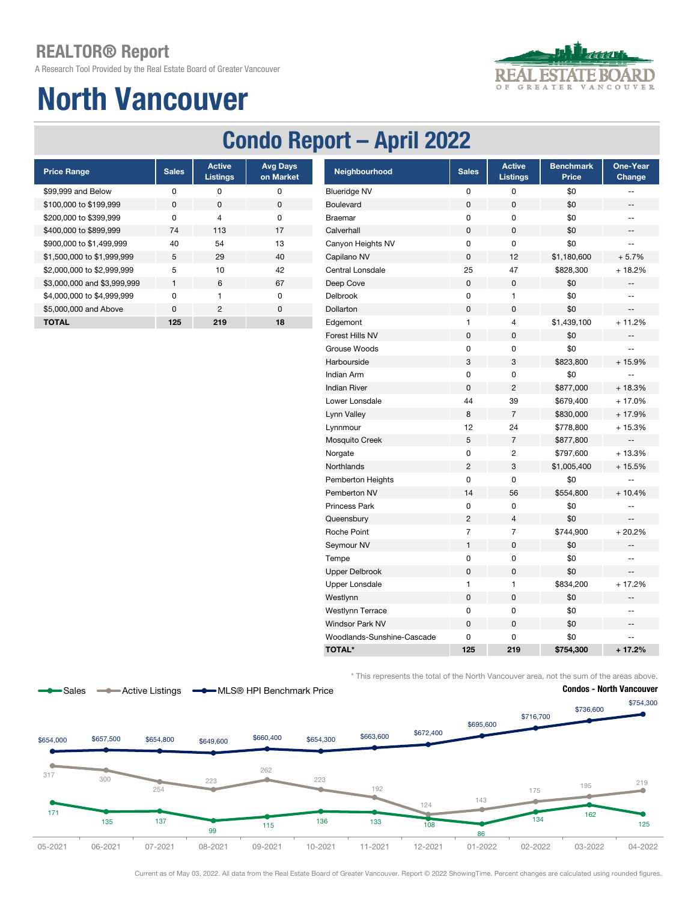A Research Tool Provided by the Real Estate Board of Greater Vancouver

# North Vancouver



## Condo Report – April 2022

| <b>Price Range</b>          | <b>Sales</b> | <b>Active</b><br><b>Listings</b> | <b>Avg Days</b><br>on Market |
|-----------------------------|--------------|----------------------------------|------------------------------|
| \$99,999 and Below          | ŋ            | ŋ                                | ŋ                            |
| \$100,000 to \$199,999      | <sup>0</sup> | O                                | $\Omega$                     |
| \$200,000 to \$399,999      | n            | 4                                | O                            |
| \$400,000 to \$899,999      | 74           | 113                              | 17                           |
| \$900,000 to \$1,499,999    | 40           | 54                               | 13                           |
| \$1,500,000 to \$1,999,999  | 5            | 29                               | 40                           |
| \$2,000,000 to \$2,999,999  | 5            | 10                               | 42                           |
| \$3,000,000 and \$3,999,999 | 1            | 6                                | 67                           |
| \$4,000,000 to \$4,999,999  | U            | 1                                | ŋ                            |
| \$5,000,000 and Above       | $\Omega$     | 2                                | $\Omega$                     |
| <b>TOTAL</b>                | 125          | 219                              | 18                           |
|                             |              |                                  |                              |

| <b>Price Range</b>          | <b>Sales</b> | <b>Active</b><br><b>Listings</b> | <b>Avg Days</b><br>on Market | Neighbourhood              | <b>Sales</b>   | <b>Active</b><br><b>Listings</b> | <b>Benchmark</b><br>Price | One-Year<br>Change       |
|-----------------------------|--------------|----------------------------------|------------------------------|----------------------------|----------------|----------------------------------|---------------------------|--------------------------|
| \$99,999 and Below          | 0            | $\pmb{0}$                        | $\pmb{0}$                    | <b>Blueridge NV</b>        | 0              | 0                                | \$0                       | $-$                      |
| \$100,000 to \$199,999      | $\mathbf 0$  | $\mathbf 0$                      | $\mathsf 0$                  | Boulevard                  | $\mathbf 0$    | 0                                | \$0                       | $\overline{\phantom{a}}$ |
| \$200,000 to \$399,999      | $\pmb{0}$    | 4                                | 0                            | <b>Braemar</b>             | $\mathbf 0$    | 0                                | \$0                       | $\mathbf{u}$             |
| \$400,000 to \$899,999      | 74           | 113                              | 17                           | Calverhall                 | $\mathbf 0$    | 0                                | \$0                       | $\overline{\phantom{a}}$ |
| \$900,000 to \$1,499,999    | 40           | 54                               | 13                           | Canyon Heights NV          | $\mathbf 0$    | 0                                | \$0                       | $\overline{\phantom{a}}$ |
| \$1,500,000 to \$1,999,999  | 5            | 29                               | 40                           | Capilano NV                | $\mathbf 0$    | 12                               | \$1,180,600               | $+5.7%$                  |
| \$2,000,000 to \$2,999,999  | 5            | 10                               | 42                           | Central Lonsdale           | 25             | 47                               | \$828,300                 | $+18.2%$                 |
| \$3,000,000 and \$3,999,999 | $\mathbf{1}$ | $\,6$                            | 67                           | Deep Cove                  | $\pmb{0}$      | $\mathsf 0$                      | \$0                       | $- \, -$                 |
| \$4,000,000 to \$4,999,999  | 0            | $\mathbf{1}$                     | $\pmb{0}$                    | Delbrook                   | $\pmb{0}$      | $\mathbf{1}$                     | \$0                       | $\overline{\phantom{m}}$ |
| \$5,000,000 and Above       | $\pmb{0}$    | $\sqrt{2}$                       | $\pmb{0}$                    | Dollarton                  | $\pmb{0}$      | 0                                | \$0                       | $\qquad \qquad -$        |
| <b>TOTAL</b>                | 125          | 219                              | 18                           | Edgemont                   | $\mathbf{1}$   | 4                                | \$1,439,100               | $+11.2%$                 |
|                             |              |                                  |                              | Forest Hills NV            | $\pmb{0}$      | 0                                | \$0                       | $-$                      |
|                             |              |                                  |                              | Grouse Woods               | $\mathbf 0$    | 0                                | \$0                       | $\overline{\phantom{a}}$ |
|                             |              |                                  |                              | Harbourside                | 3              | 3                                | \$823,800                 | +15.9%                   |
|                             |              |                                  |                              | <b>Indian Arm</b>          | $\pmb{0}$      | 0                                | \$0                       | $\overline{\phantom{a}}$ |
|                             |              |                                  |                              | <b>Indian River</b>        | $\mathbf 0$    | $\overline{c}$                   | \$877,000                 | $+18.3%$                 |
|                             |              |                                  |                              | Lower Lonsdale             | 44             | 39                               | \$679,400                 | $+17.0%$                 |
|                             |              |                                  |                              | Lynn Valley                | 8              | $\overline{7}$                   | \$830,000                 | + 17.9%                  |
|                             |              |                                  |                              | Lynnmour                   | 12             | 24                               | \$778,800                 | $+15.3%$                 |
|                             |              |                                  |                              | Mosquito Creek             | $\sqrt{5}$     | $\overline{7}$                   | \$877,800                 | $\overline{a}$           |
|                             |              |                                  |                              | Norgate                    | $\pmb{0}$      | $\overline{c}$                   | \$797,600                 | $+13.3%$                 |
|                             |              |                                  |                              | Northlands                 | $\overline{2}$ | 3                                | \$1,005,400               | $+15.5%$                 |
|                             |              |                                  |                              | Pemberton Heights          | $\mathbf 0$    | $\mathsf 0$                      | \$0                       | $-$                      |
|                             |              |                                  |                              | Pemberton NV               | 14             | 56                               | \$554,800                 | $+10.4%$                 |
|                             |              |                                  |                              | Princess Park              | $\mathbf 0$    | 0                                | \$0                       | $\overline{\phantom{m}}$ |
|                             |              |                                  |                              | Queensbury                 | $\overline{2}$ | $\overline{4}$                   | \$0                       | $\overline{\phantom{a}}$ |
|                             |              |                                  |                              | Roche Point                | $\overline{7}$ | $\overline{7}$                   | \$744,900                 | $+20.2%$                 |
|                             |              |                                  |                              | Seymour NV                 | $\mathbf{1}$   | $\pmb{0}$                        | \$0                       | $\overline{\phantom{m}}$ |
|                             |              |                                  |                              | Tempe                      | $\mathbf 0$    | 0                                | \$0                       | $\qquad \qquad -$        |
|                             |              |                                  |                              | <b>Upper Delbrook</b>      | $\mathbf 0$    | 0                                | \$0                       | $\overline{\phantom{a}}$ |
|                             |              |                                  |                              | Upper Lonsdale             | $\mathbf{1}$   | $\mathbf{1}$                     | \$834,200                 | $+17.2%$                 |
|                             |              |                                  |                              | Westlynn                   | $\pmb{0}$      | 0                                | \$0                       |                          |
|                             |              |                                  |                              | Westlynn Terrace           | $\mathbf 0$    | 0                                | \$0                       | $-$                      |
|                             |              |                                  |                              | Windsor Park NV            | $\pmb{0}$      | $\mathbf 0$                      | \$0                       | --                       |
|                             |              |                                  |                              | Woodlands-Sunshine-Cascade | $\mathbf 0$    | 0                                | \$0                       | $-$                      |
|                             |              |                                  |                              | <b>TOTAL*</b>              | 125            | 219                              | \$754,300                 | $+17.2%$                 |

\* This represents the total of the North Vancouver area, not the sum of the areas above.



Current as of May 03, 2022. All data from the Real Estate Board of Greater Vancouver. Report © 2022 ShowingTime. Percent changes are calculated using rounded figures.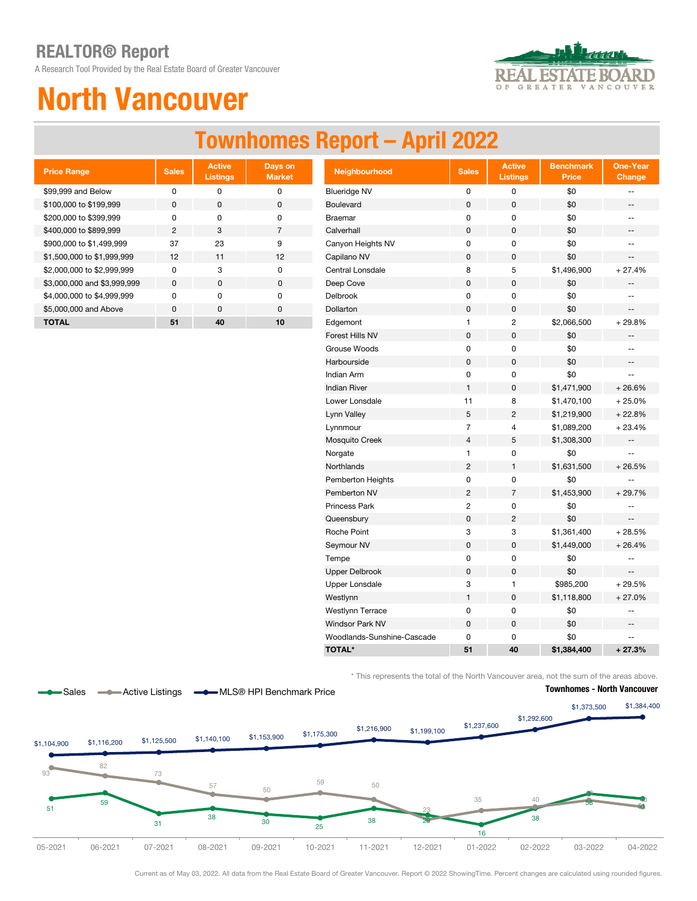A Research Tool Provided by the Real Estate Board of Greater Vancouver



# North Vancouver

## Townhomes Report – April 2022

| <b>Price Range</b>          | <b>Sales</b>   | <b>Active</b><br><b>Listings</b> | Days on<br><b>Market</b> |
|-----------------------------|----------------|----------------------------------|--------------------------|
| \$99,999 and Below          | ŋ              | ŋ                                | O                        |
| \$100,000 to \$199,999      | <sup>0</sup>   | O                                | $\Omega$                 |
| \$200,000 to \$399,999      | U              | O                                | O                        |
| \$400,000 to \$899,999      | $\mathfrak{p}$ | 3                                | $\overline{7}$           |
| \$900,000 to \$1,499,999    | 37             | 23                               | 9                        |
| \$1,500,000 to \$1,999,999  | 12             | 11                               | 12                       |
| \$2,000,000 to \$2,999,999  | n              | 3                                | ŋ                        |
| \$3,000,000 and \$3,999,999 | <sup>0</sup>   | O                                | 0                        |
| \$4,000,000 to \$4,999,999  | U              | U                                | O                        |
| \$5,000,000 and Above       | $\Omega$       | $\Omega$                         | $\Omega$                 |
| TOTAL                       | 51             | 40                               | 10                       |

| <b>Price Range</b>          | <b>Sales</b>   | <b>Active</b><br><b>Listings</b> | Days on<br><b>Market</b> | Neighbourhood              | <b>Sales</b>   | <b>Active</b><br><b>Listings</b> | <b>Benchmark</b><br>Price | <b>One-Year</b><br><b>Change</b> |
|-----------------------------|----------------|----------------------------------|--------------------------|----------------------------|----------------|----------------------------------|---------------------------|----------------------------------|
| \$99,999 and Below          | $\mathbf 0$    | 0                                | $\pmb{0}$                | <b>Blueridge NV</b>        | 0              | $\pmb{0}$                        | \$0                       | --                               |
| \$100,000 to \$199,999      | $\mathbf 0$    | 0                                | $\pmb{0}$                | Boulevard                  | $\pmb{0}$      | 0                                | \$0                       | --                               |
| \$200,000 to \$399,999      | 0              | 0                                | $\pmb{0}$                | <b>Braemar</b>             | 0              | 0                                | \$0                       | $-1$                             |
| \$400,000 to \$899,999      | $\overline{c}$ | 3                                | $\overline{7}$           | Calverhall                 | $\pmb{0}$      | 0                                | \$0                       | --                               |
| \$900,000 to \$1,499,999    | 37             | 23                               | 9                        | Canyon Heights NV          | 0              | 0                                | \$0                       | $- -$                            |
| \$1,500,000 to \$1,999,999  | 12             | 11                               | 12                       | Capilano NV                | 0              | 0                                | \$0                       | $- -$                            |
| \$2,000,000 to \$2,999,999  | $\pmb{0}$      | 3                                | $\pmb{0}$                | Central Lonsdale           | 8              | 5                                | \$1,496,900               | $+27.4%$                         |
| \$3,000,000 and \$3,999,999 | $\pmb{0}$      | $\pmb{0}$                        | $\pmb{0}$                | Deep Cove                  | 0              | 0                                | \$0                       |                                  |
| \$4,000,000 to \$4,999,999  | 0              | 0                                | 0                        | Delbrook                   | 0              | 0                                | \$0                       | --                               |
| \$5,000,000 and Above       | $\pmb{0}$      | $\pmb{0}$                        | $\pmb{0}$                | Dollarton                  | 0              | $\mathbf 0$                      | \$0                       | --                               |
| <b>TOTAL</b>                | 51             | 40                               | 10                       | Edgemont                   | 1              | $\overline{c}$                   | \$2,066,500               | $+29.8%$                         |
|                             |                |                                  |                          | Forest Hills NV            | $\mathsf 0$    | $\mathsf 0$                      | \$0                       |                                  |
|                             |                |                                  |                          | Grouse Woods               | $\pmb{0}$      | 0                                | \$0                       | --                               |
|                             |                |                                  |                          | Harbourside                | $\pmb{0}$      | $\pmb{0}$                        | \$0                       | $\overline{\phantom{a}}$         |
|                             |                |                                  |                          | Indian Arm                 | $\pmb{0}$      | $\pmb{0}$                        | \$0                       | --                               |
|                             |                |                                  |                          | <b>Indian River</b>        | $\mathbf{1}$   | 0                                | \$1,471,900               | $+26.6%$                         |
|                             |                |                                  |                          | Lower Lonsdale             | 11             | 8                                | \$1,470,100               | $+25.0%$                         |
|                             |                |                                  |                          | Lynn Valley                | 5              | $\overline{c}$                   | \$1,219,900               | $+22.8%$                         |
|                             |                |                                  |                          | Lynnmour                   | $\overline{7}$ | 4                                | \$1,089,200               | $+23.4%$                         |
|                             |                |                                  |                          | Mosquito Creek             | $\overline{4}$ | 5                                | \$1,308,300               | --                               |
|                             |                |                                  |                          | Norgate                    | $\mathbf{1}$   | $\pmb{0}$                        | \$0                       | 44                               |
|                             |                |                                  |                          | Northlands                 | $\overline{2}$ | $\mathbf{1}$                     | \$1,631,500               | $+26.5%$                         |
|                             |                |                                  |                          | Pemberton Heights          | $\pmb{0}$      | 0                                | \$0                       | --                               |
|                             |                |                                  |                          | Pemberton NV               | $\overline{2}$ | $\overline{7}$                   | \$1,453,900               | $+29.7%$                         |
|                             |                |                                  |                          | Princess Park              | $\overline{2}$ | 0                                | \$0                       | $\overline{\phantom{a}}$         |
|                             |                |                                  |                          | Queensbury                 | 0              | $\overline{2}$                   | \$0                       |                                  |
|                             |                |                                  |                          | Roche Point                | 3              | 3                                | \$1,361,400               | $+28.5%$                         |
|                             |                |                                  |                          | Seymour NV                 | 0              | $\mathsf 0$                      | \$1,449,000               | $+26.4%$                         |
|                             |                |                                  |                          | Tempe                      | 0              | 0                                | \$0                       | --                               |
|                             |                |                                  |                          | <b>Upper Delbrook</b>      | $\pmb{0}$      | 0                                | \$0                       |                                  |
|                             |                |                                  |                          | <b>Upper Lonsdale</b>      | 3              | 1                                | \$985,200                 | $+29.5%$                         |
|                             |                |                                  |                          | Westlynn                   | $\mathbf{1}$   | 0                                | \$1,118,800               | $+27.0%$                         |
|                             |                |                                  |                          | Westlynn Terrace           | 0              | 0                                | \$0                       | --                               |
|                             |                |                                  |                          | Windsor Park NV            | $\pmb{0}$      | 0                                | \$0                       | --                               |
|                             |                |                                  |                          | Woodlands-Sunshine-Cascade | 0              | 0                                | \$0                       | $-1$                             |
|                             |                |                                  |                          | <b>TOTAL*</b>              | 51             | 40                               | \$1,384,400               | $+27.3%$                         |

\* This represents the total of the North Vancouver area, not the sum of the areas above.



Current as of May 03, 2022. All data from the Real Estate Board of Greater Vancouver. Report © 2022 ShowingTime. Percent changes are calculated using rounded figures.